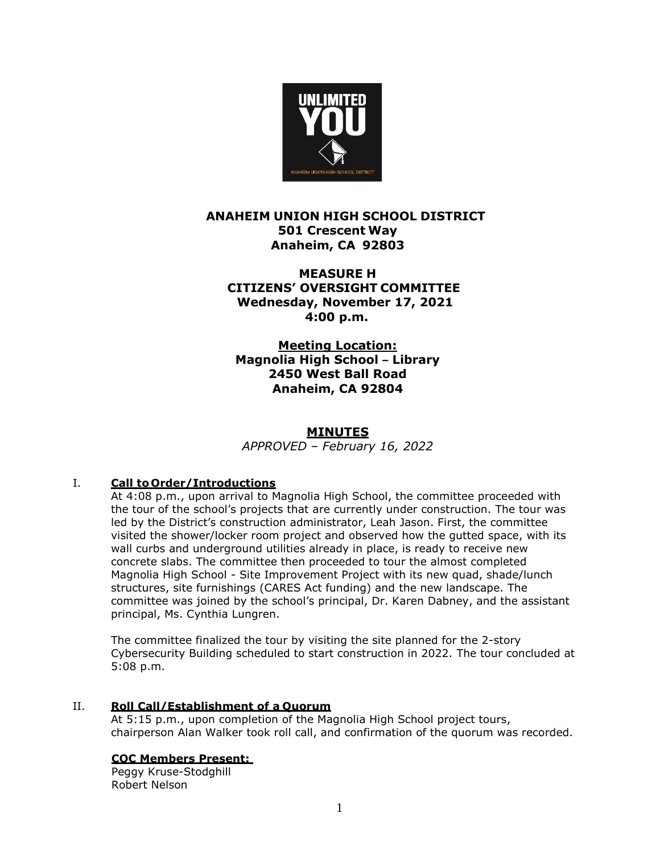

# **ANAHEIM UNION HIGH SCHOOL DISTRICT 501 Crescent Way Anaheim, CA 92803**

**MEASURE H CITIZENS' OVERSIGHT COMMITTEE Wednesday, November 17, 2021 4:00 p.m.**

 **Meeting Location: Magnolia High School – Library 2450 West Ball Road Anaheim, CA 92804**

## **MINUTES**

*APPROVED – February 16, 2022*

## I. **Call to Order/Introductions**

At 4:08 p.m., upon arrival to Magnolia High School, the committee proceeded with the tour of the school's projects that are currently under construction. The tour was led by the District's construction administrator, Leah Jason. First, the committee visited the shower/locker room project and observed how the gutted space, with its wall curbs and underground utilities already in place, is ready to receive new concrete slabs. The committee then proceeded to tour the almost completed Magnolia High School - Site Improvement Project with its new quad, shade/lunch structures, site furnishings (CARES Act funding) and the new landscape. The committee was joined by the school's principal, Dr. Karen Dabney, and the assistant principal, Ms. Cynthia Lungren.

The committee finalized the tour by visiting the site planned for the 2-story Cybersecurity Building scheduled to start construction in 2022. The tour concluded at 5:08 p.m.

### II. **Roll Call/Establishment of a Quorum**

At 5:15 p.m., upon completion of the Magnolia High School project tours, chairperson Alan Walker took roll call, and confirmation of the quorum was recorded.

## **COC Members Present:**

Peggy Kruse-Stodghill Robert Nelson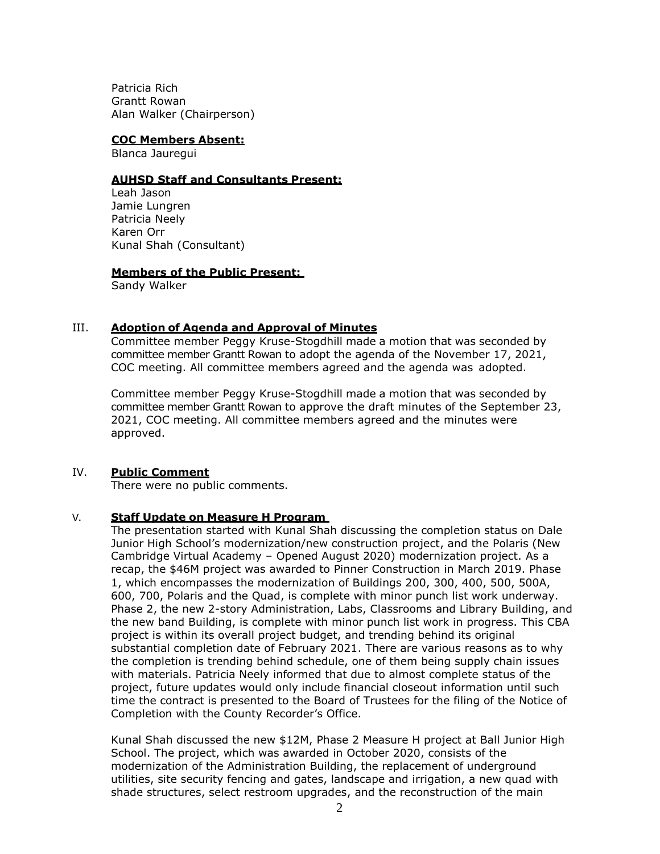Patricia Rich Grantt Rowan Alan Walker (Chairperson)

#### **COC Members Absent:**

Blanca Jauregui

#### **AUHSD Staff and Consultants Present:**

Leah Jason Jamie Lungren Patricia Neely Karen Orr Kunal Shah (Consultant)

#### **Members of the Public Present:**

Sandy Walker

### III. **Adoption of Agenda and Approval of Minutes**

Committee member Peggy Kruse-Stogdhill made a motion that was seconded by committee member Grantt Rowan to adopt the agenda of the November 17, 2021, COC meeting. All committee members agreed and the agenda was adopted.

Committee member Peggy Kruse-Stogdhill made a motion that was seconded by committee member Grantt Rowan to approve the draft minutes of the September 23, 2021, COC meeting. All committee members agreed and the minutes were approved.

### IV. **Public Comment**

There were no public comments.

### V. **Staff Update on Measure H Program**

The presentation started with Kunal Shah discussing the completion status on Dale Junior High School's modernization/new construction project, and the Polaris (New Cambridge Virtual Academy – Opened August 2020) modernization project. As a recap, the \$46M project was awarded to Pinner Construction in March 2019. Phase 1, which encompasses the modernization of Buildings 200, 300, 400, 500, 500A, 600, 700, Polaris and the Quad, is complete with minor punch list work underway. Phase 2, the new 2-story Administration, Labs, Classrooms and Library Building, and the new band Building, is complete with minor punch list work in progress. This CBA project is within its overall project budget, and trending behind its original substantial completion date of February 2021. There are various reasons as to why the completion is trending behind schedule, one of them being supply chain issues with materials. Patricia Neely informed that due to almost complete status of the project, future updates would only include financial closeout information until such time the contract is presented to the Board of Trustees for the filing of the Notice of Completion with the County Recorder's Office.

Kunal Shah discussed the new \$12M, Phase 2 Measure H project at Ball Junior High School. The project, which was awarded in October 2020, consists of the modernization of the Administration Building, the replacement of underground utilities, site security fencing and gates, landscape and irrigation, a new quad with shade structures, select restroom upgrades, and the reconstruction of the main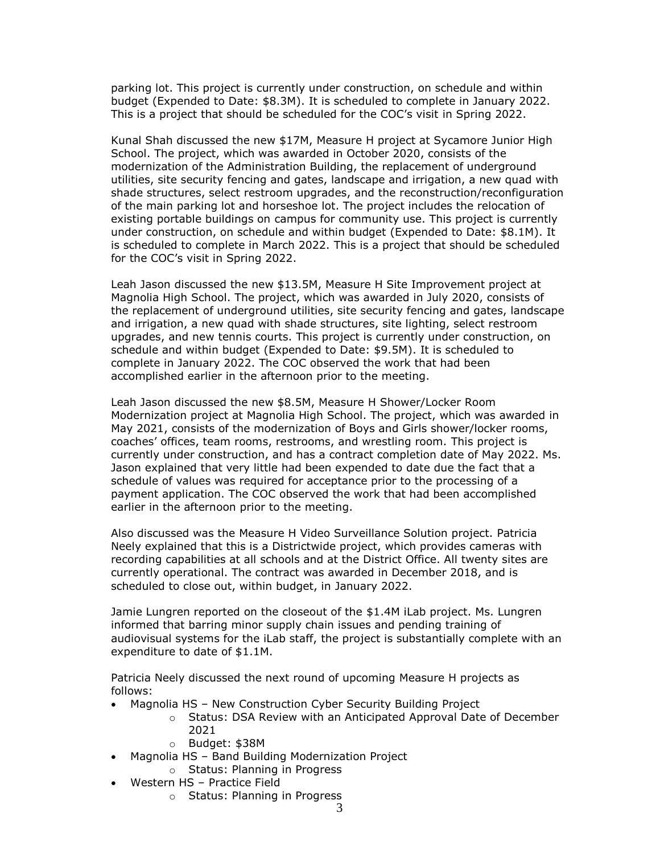parking lot. This project is currently under construction, on schedule and within budget (Expended to Date: \$8.3M). It is scheduled to complete in January 2022. This is a project that should be scheduled for the COC's visit in Spring 2022.

Kunal Shah discussed the new \$17M, Measure H project at Sycamore Junior High School. The project, which was awarded in October 2020, consists of the modernization of the Administration Building, the replacement of underground utilities, site security fencing and gates, landscape and irrigation, a new quad with shade structures, select restroom upgrades, and the reconstruction/reconfiguration of the main parking lot and horseshoe lot. The project includes the relocation of existing portable buildings on campus for community use. This project is currently under construction, on schedule and within budget (Expended to Date: \$8.1M). It is scheduled to complete in March 2022. This is a project that should be scheduled for the COC's visit in Spring 2022.

Leah Jason discussed the new \$13.5M, Measure H Site Improvement project at Magnolia High School. The project, which was awarded in July 2020, consists of the replacement of underground utilities, site security fencing and gates, landscape and irrigation, a new quad with shade structures, site lighting, select restroom upgrades, and new tennis courts. This project is currently under construction, on schedule and within budget (Expended to Date: \$9.5M). It is scheduled to complete in January 2022. The COC observed the work that had been accomplished earlier in the afternoon prior to the meeting.

Leah Jason discussed the new \$8.5M, Measure H Shower/Locker Room Modernization project at Magnolia High School. The project, which was awarded in May 2021, consists of the modernization of Boys and Girls shower/locker rooms, coaches' offices, team rooms, restrooms, and wrestling room. This project is currently under construction, and has a contract completion date of May 2022. Ms. Jason explained that very little had been expended to date due the fact that a schedule of values was required for acceptance prior to the processing of a payment application. The COC observed the work that had been accomplished earlier in the afternoon prior to the meeting.

Also discussed was the Measure H Video Surveillance Solution project. Patricia Neely explained that this is a Districtwide project, which provides cameras with recording capabilities at all schools and at the District Office. All twenty sites are currently operational. The contract was awarded in December 2018, and is scheduled to close out, within budget, in January 2022.

Jamie Lungren reported on the closeout of the \$1.4M iLab project. Ms. Lungren informed that barring minor supply chain issues and pending training of audiovisual systems for the iLab staff, the project is substantially complete with an expenditure to date of \$1.1M.

Patricia Neely discussed the next round of upcoming Measure H projects as follows:

- Magnolia HS New Construction Cyber Security Building Project
	- o Status: DSA Review with an Anticipated Approval Date of December 2021
	- o Budget: \$38M
- Magnolia HS Band Building Modernization Project
	- o Status: Planning in Progress
- Western HS Practice Field
	- o Status: Planning in Progress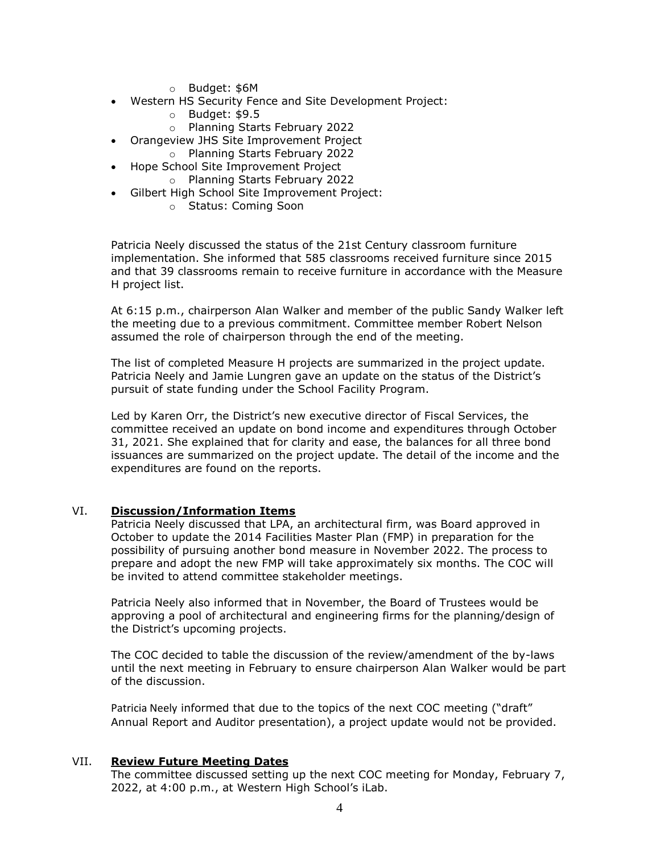- o Budget: \$6M
- Western HS Security Fence and Site Development Project:
	- o Budget: \$9.5
	- o Planning Starts February 2022
- Orangeview JHS Site Improvement Project
- o Planning Starts February 2022 • Hope School Site Improvement Project
	- o Planning Starts February 2022
- Gilbert High School Site Improvement Project:
	- o Status: Coming Soon

Patricia Neely discussed the status of the 21st Century classroom furniture implementation. She informed that 585 classrooms received furniture since 2015 and that 39 classrooms remain to receive furniture in accordance with the Measure H project list.

At 6:15 p.m., chairperson Alan Walker and member of the public Sandy Walker left the meeting due to a previous commitment. Committee member Robert Nelson assumed the role of chairperson through the end of the meeting.

The list of completed Measure H projects are summarized in the project update. Patricia Neely and Jamie Lungren gave an update on the status of the District's pursuit of state funding under the School Facility Program.

Led by Karen Orr, the District's new executive director of Fiscal Services, the committee received an update on bond income and expenditures through October 31, 2021. She explained that for clarity and ease, the balances for all three bond issuances are summarized on the project update. The detail of the income and the expenditures are found on the reports.

### VI. **Discussion/Information Items**

Patricia Neely discussed that LPA, an architectural firm, was Board approved in October to update the 2014 Facilities Master Plan (FMP) in preparation for the possibility of pursuing another bond measure in November 2022. The process to prepare and adopt the new FMP will take approximately six months. The COC will be invited to attend committee stakeholder meetings.

Patricia Neely also informed that in November, the Board of Trustees would be approving a pool of architectural and engineering firms for the planning/design of the District's upcoming projects.

The COC decided to table the discussion of the review/amendment of the by-laws until the next meeting in February to ensure chairperson Alan Walker would be part of the discussion.

Patricia Neely informed that due to the topics of the next COC meeting ("draft" Annual Report and Auditor presentation), a project update would not be provided.

#### VII. **Review Future Meeting Dates**

The committee discussed setting up the next COC meeting for Monday, February 7, 2022, at 4:00 p.m., at Western High School's iLab.